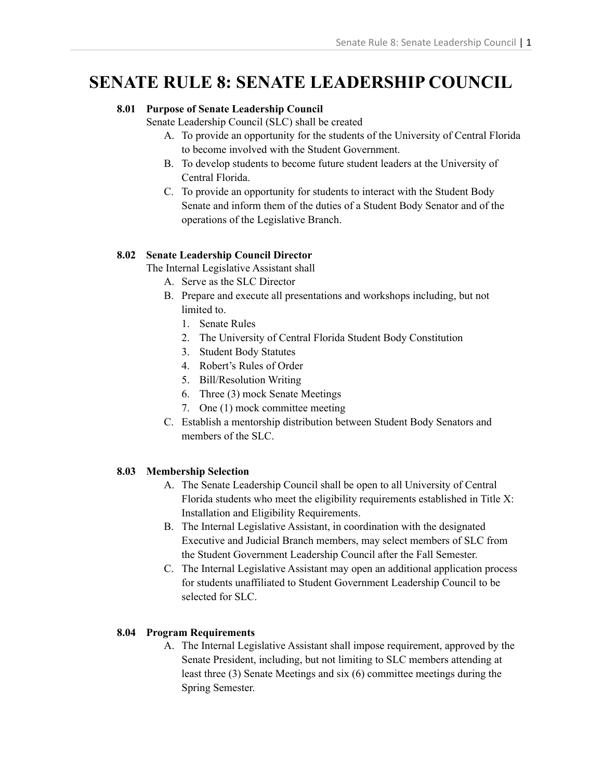# **SENATE RULE 8: SENATE LEADERSHIP COUNCIL**

# **8.01 Purpose of Senate Leadership Council**

Senate Leadership Council (SLC) shall be created

- A. To provide an opportunity for the students of the University of Central Florida to become involved with the Student Government.
- B. To develop students to become future student leaders at the University of Central Florida.
- C. To provide an opportunity for students to interact with the Student Body Senate and inform them of the duties of a Student Body Senator and of the operations of the Legislative Branch.

## **8.02 Senate Leadership Council Director**

The Internal Legislative Assistant shall

- A. Serve as the SLC Director
- B. Prepare and execute all presentations and workshops including, but not limited to.
	- 1. Senate Rules
	- 2. The University of Central Florida Student Body Constitution
	- 3. Student Body Statutes
	- 4. Robert's Rules of Order
	- 5. Bill/Resolution Writing
	- 6. Three (3) mock Senate Meetings
	- 7. One (1) mock committee meeting
- C. Establish a mentorship distribution between Student Body Senators and members of the SLC.

## **8.03 Membership Selection**

- A. The Senate Leadership Council shall be open to all University of Central Florida students who meet the eligibility requirements established in Title X: Installation and Eligibility Requirements.
- B. The Internal Legislative Assistant, in coordination with the designated Executive and Judicial Branch members, may select members of SLC from the Student Government Leadership Council after the Fall Semester.
- C. The Internal Legislative Assistant may open an additional application process for students unaffiliated to Student Government Leadership Council to be selected for SLC.

## **8.04 Program Requirements**

A. The Internal Legislative Assistant shall impose requirement, approved by the Senate President, including, but not limiting to SLC members attending at least three (3) Senate Meetings and six (6) committee meetings during the Spring Semester.